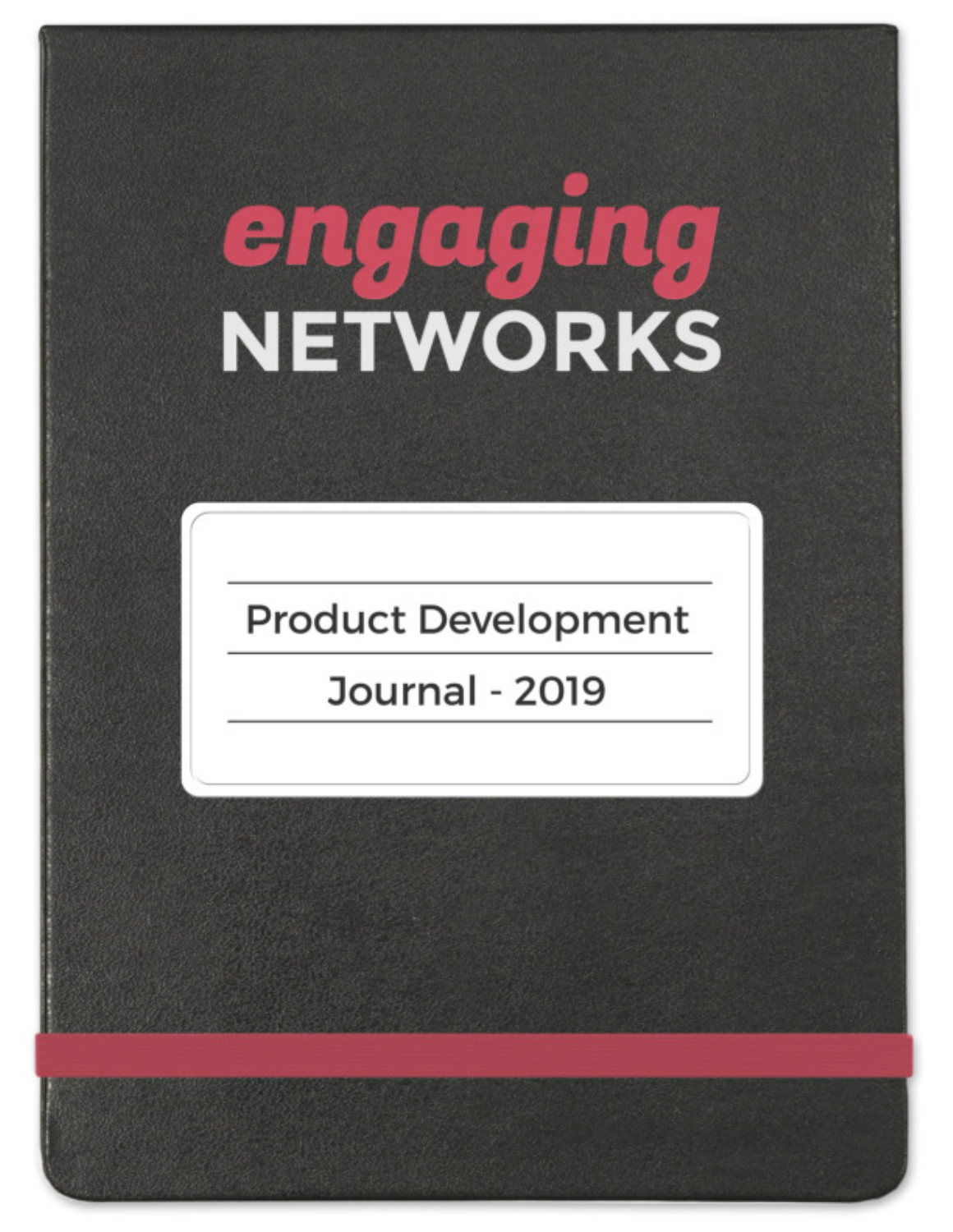# **engeging**<br>NETWORKS

# **Product Development**

**Journal - 2019**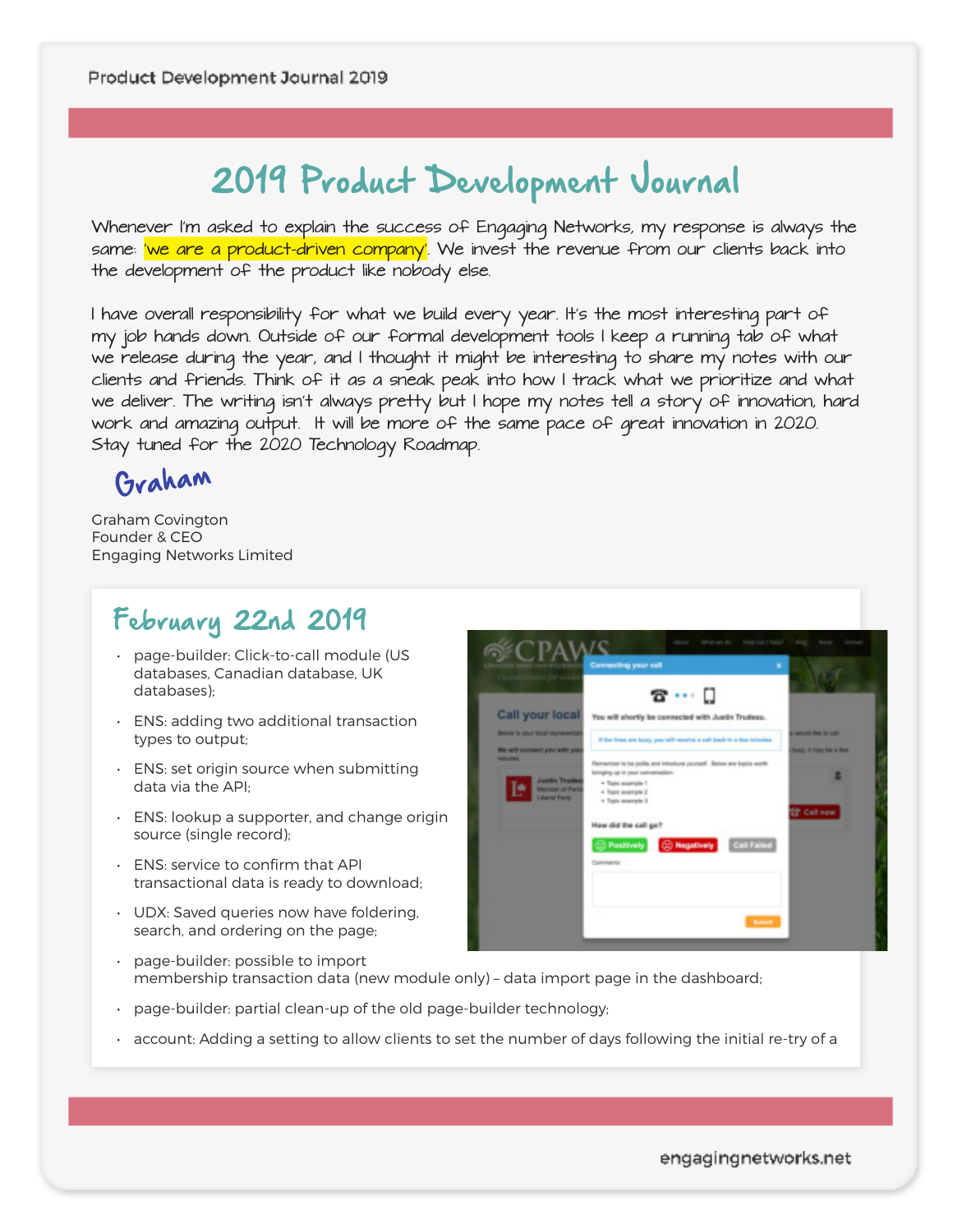# 2019 Product Development Journal

*Whenever I'm asked to explain the success of Engaging Networks, my response is always the*  same: <mark>'we are a product-driven company'</mark>. We invest the revenue from our clients back into *the development of the product like nobody else.* 

*I have overall responsibility for what we build every year. It's the most interesting part of my job hands down. Outside of our formal development tools I keep a running tab of what*  we release during the year, and I thought it might be interesting to share my notes with our *clients and friends. Think of it as a sneak peak into how I track what we prioritize and what*  we deliver. The writing isn't always pretty but I hope my notes tell a story of innovation, hard work and amazing output. It will be more of the same pace of great innovation in 2020. *Stay tuned for the 2020 Technology Roadmap.* 

Graham

Graham Covington Founder & CEO Engaging Networks Limited

## February 22nd 2019

- page-builder: Click-to-call module (US databases, Canadian database, UK databases);
- ENS: adding two additional transaction types to output;
- ENS: set origin source when submitting data via the API;
- ENS: lookup a supporter, and change origin source (single record);
- ENS: service to confirm that API transactional data is ready to download;
- UDX: Saved queries now have foldering, search, and ordering on the page;



- page-builder: possible to import membership transaction data (new module only) – data import page in the dashboard;
- page-builder: partial clean-up of the old page-builder technology;
- account: Adding a setting to allow clients to set the number of days following the initial re-try of a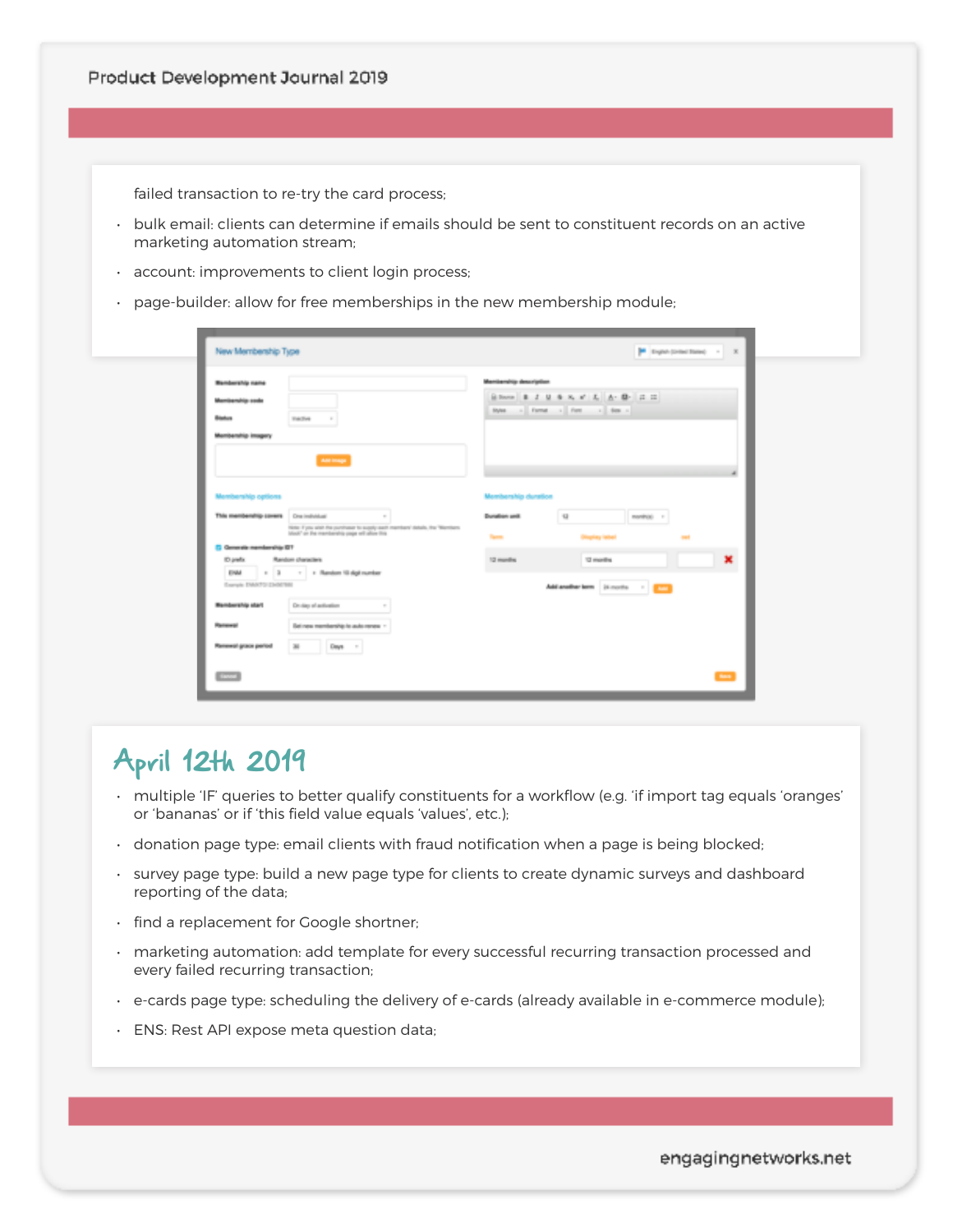failed transaction to re-try the card process;

- bulk email: clients can determine if emails should be sent to constituent records on an active marketing automation stream;
- account: improvements to client login process;
- page-builder: allow for free memberships in the new membership module;

| <b>Bendership name</b>     |                                                                                                                                  | Membership description |                                                               |  |
|----------------------------|----------------------------------------------------------------------------------------------------------------------------------|------------------------|---------------------------------------------------------------|--|
| Mambarship soda            |                                                                                                                                  |                        | Bloom B J U & K # L A B E E<br>Syles - Format - Ford - Size - |  |
| <b>Blackup</b>             | Elective<br>$\sim$                                                                                                               |                        |                                                               |  |
| Membership imagery         |                                                                                                                                  |                        |                                                               |  |
|                            | Ant image                                                                                                                        |                        |                                                               |  |
|                            |                                                                                                                                  |                        |                                                               |  |
|                            |                                                                                                                                  |                        |                                                               |  |
| Membership options         |                                                                                                                                  | Membership duration    |                                                               |  |
| This membership covers     | <b>Cing Institute at</b><br>$\sim$                                                                                               | Donalisen und          | $\overline{u}$<br>manihida) 11                                |  |
|                            | Note: If you wish the curricuser to expely each members' details, the "Members'<br>black" on the membership page will allow this | Tarm.                  | <b>Display label</b><br><b>SAF</b>                            |  |
| C Generals manufacratic CT |                                                                                                                                  |                        |                                                               |  |
| ID prefix                  | Random characters                                                                                                                | 12 months              | ×<br>12 months                                                |  |
| EINM                       | 1 3 - 1 Random 10 digit number                                                                                                   |                        |                                                               |  |
| Sarah DANTU DANTIS         |                                                                                                                                  |                        | Abiandhertem (Knoch - 1                                       |  |
| <b>Bendership start</b>    | Druize of activation<br>$\sim$                                                                                                   |                        |                                                               |  |
| Renewal                    | Bet new membership to auto renew ?                                                                                               |                        |                                                               |  |
|                            |                                                                                                                                  |                        |                                                               |  |

# April 12th 2019

- multiple 'IF' queries to better qualify constituents for a workflow (e.g. 'if import tag equals 'oranges' or 'bananas' or if 'this field value equals 'values', etc.);
- donation page type: email clients with fraud notification when a page is being blocked;
- survey page type: build a new page type for clients to create dynamic surveys and dashboard reporting of the data;
- find a replacement for Google shortner;
- marketing automation: add template for every successful recurring transaction processed and every failed recurring transaction;
- e-cards page type: scheduling the delivery of e-cards (already available in e-commerce module);
- ENS: Rest API expose meta question data;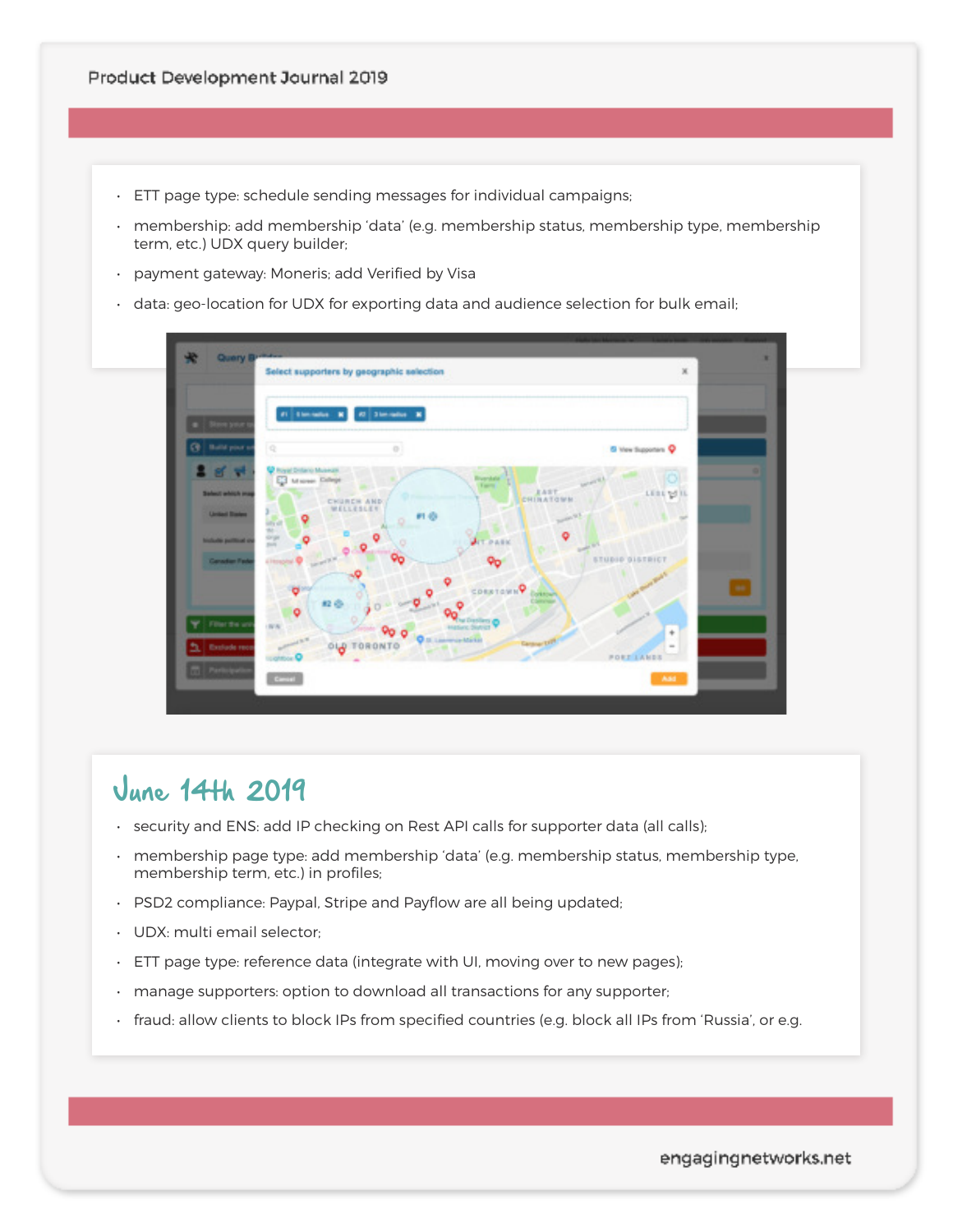- ETT page type: schedule sending messages for individual campaigns;
- membership: add membership 'data' (e.g. membership status, membership type, membership term, etc.) UDX query builder;
- payment gateway: Moneris; add Verified by Visa
- data: geo-location for UDX for exporting data and audience selection for bulk email;



#### June 14th 2019

- security and ENS: add IP checking on Rest API calls for supporter data (all calls);
- membership page type: add membership 'data' (e.g. membership status, membership type, membership term, etc.) in profiles;
- PSD2 compliance: Paypal, Stripe and Payflow are all being updated;
- UDX: multi email selector;
- ETT page type: reference data (integrate with UI, moving over to new pages);
- manage supporters: option to download all transactions for any supporter;
- fraud: allow clients to block IPs from specified countries (e.g. block all IPs from 'Russia', or e.g.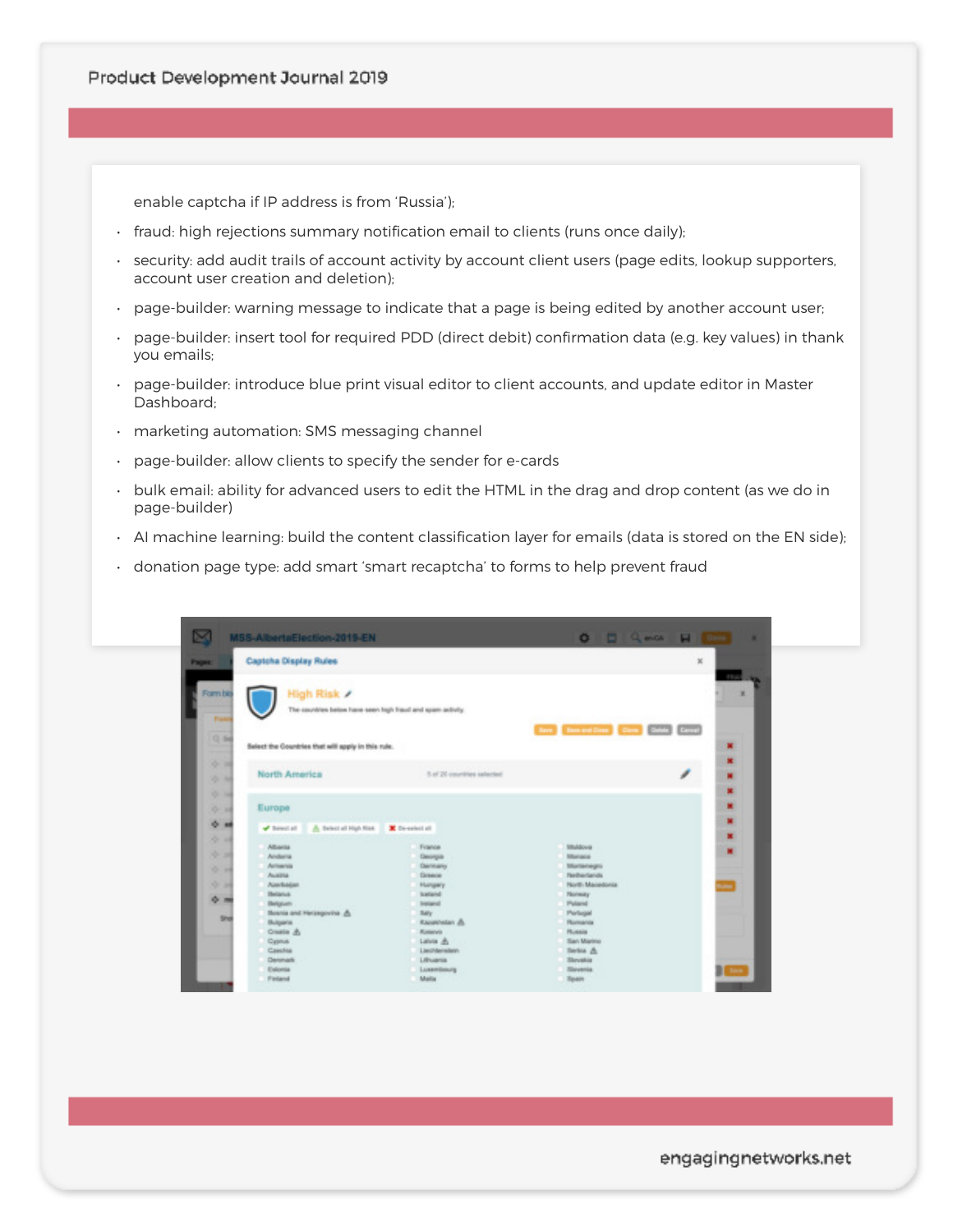enable captcha if IP address is from 'Russia');

- fraud: high rejections summary notification email to clients (runs once daily);
- security: add audit trails of account activity by account client users (page edits, lookup supporters, account user creation and deletion);
- page-builder: warning message to indicate that a page is being edited by another account user;
- page-builder: insert tool for required PDD (direct debit) confirmation data (e.g. key values) in thank you emails;
- page-builder: introduce blue print visual editor to client accounts, and update editor in Master Dashboard;
- marketing automation: SMS messaging channel
- page-builder: allow clients to specify the sender for e-cards
- bulk email: ability for advanced users to edit the HTML in the drag and drop content (as we do in page-builder)
- AI machine learning: build the content classification layer for emails (data is stored on the EN side);
- donation page type: add smart 'smart recaptcha' to forms to help prevent fraud

| ×                                | MSS-AlbertaElection-2019-EN                                                                  |                                                                  | $0$ $0$ $0$ $0$ $0$ $1$                                                         |                       | ٠ |
|----------------------------------|----------------------------------------------------------------------------------------------|------------------------------------------------------------------|---------------------------------------------------------------------------------|-----------------------|---|
| <b>Pages:</b>                    | Captoha Display Rules                                                                        |                                                                  |                                                                                 | ×                     |   |
| Form bis<br><b>Flash</b><br>0.56 | High Risk /<br>The countries below have seen high fraud and spam activity.                   |                                                                  | Important Des (2000) (2000)<br><b>Barrell</b>                                   | FR.A                  | × |
| $-10$<br>小田<br>0 14              | Select the Countries that will apply in this rule.<br><b>North America</b>                   | 5 of 20 countries selected                                       |                                                                                 | 冨<br>×<br>ℐ<br>w<br>× |   |
| $0 - 10$<br>$0 - m$<br>$0 - 10$  | Europe<br>A. Beleit all High Risk<br>$\blacktriangleright$ Below) all<br><b>Altravia</b>     | X De-select all<br>France                                        | tituldous                                                                       | ×<br>×<br>×           |   |
| 安装<br>$0 - 14$<br>121.04         | Aindania<br>Armenia<br>Austra<br>Alectrolate<br><b>Helanuk</b>                               | Ceorgia<br>Denmarks<br><b>Graece</b><br>Hungary<br>lostand       | <b>Silverance</b><br>Martisnegro<br><b>Flexibiertands</b><br>North Macedonia    | m                     |   |
| 0.16<br>Sho                      | <b>Belgium</b><br><b>Bosnia and Herzegovina &amp;</b><br>Bulgaria<br>Creation Jb.<br>Cyprus. | Instant<br><b>Bally</b><br>Kazatowian &<br>Kinterviz<br>Latvin & | <b>Nonsey</b><br>Petered<br>Perlugal<br>Romania<br><b>Plusaia</b><br>San Marino |                       |   |
|                                  | Casclica<br>Delamark<br>Estonia<br>Finland                                                   | Lieuthlensfein<br>Libuarus<br>Luxembourg<br>Malla                | Serbia &<br>Slovakia<br>Slovenia<br>Spain                                       | $\mathbf{I}$          |   |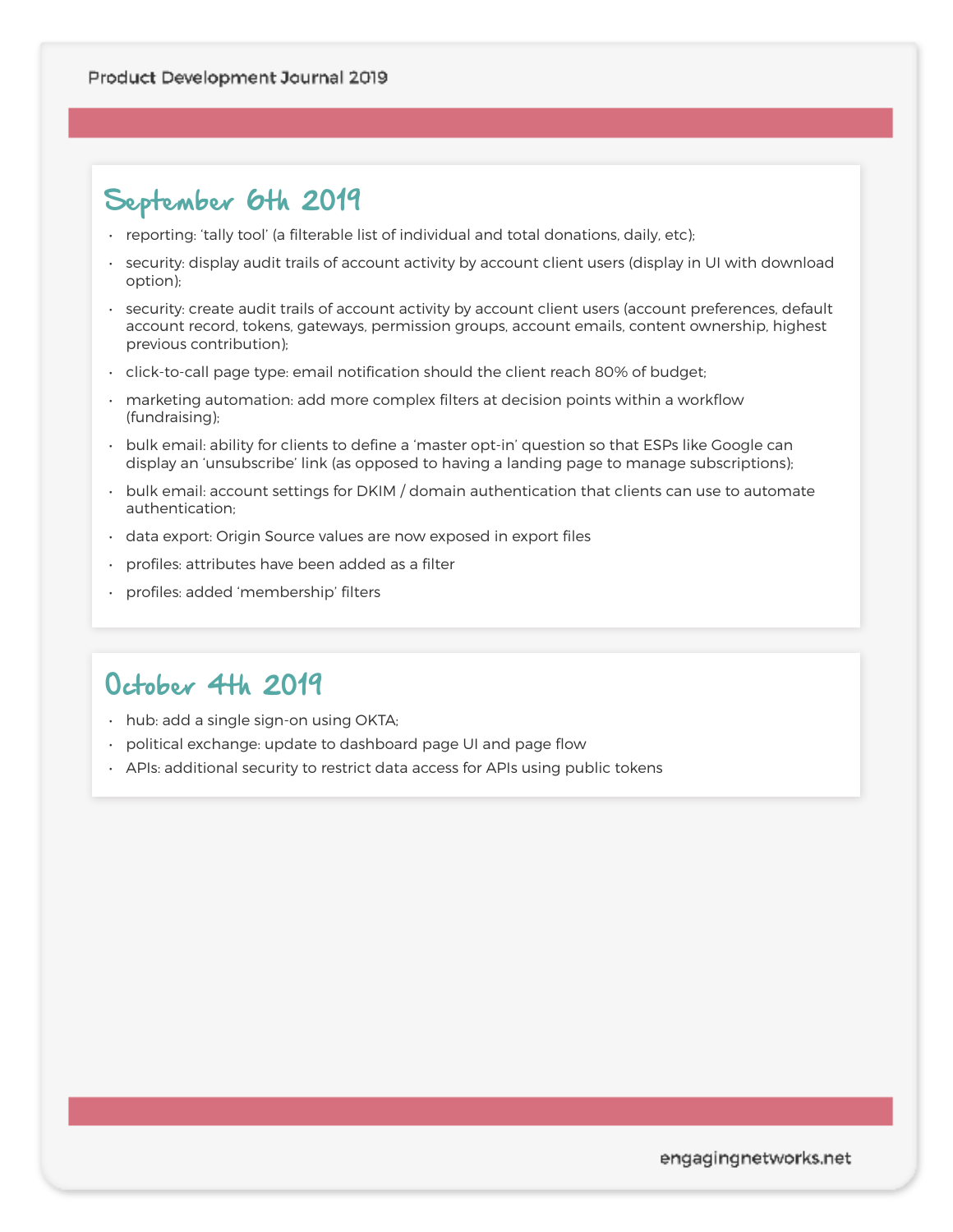# September 6th 2019

- reporting: 'tally tool' (a filterable list of individual and total donations, daily, etc);
- security: display audit trails of account activity by account client users (display in UI with download option);
- security: create audit trails of account activity by account client users (account preferences, default account record, tokens, gateways, permission groups, account emails, content ownership, highest previous contribution);
- click-to-call page type: email notification should the client reach 80% of budget;
- marketing automation: add more complex filters at decision points within a workflow (fundraising);
- bulk email: ability for clients to define a 'master opt-in' question so that ESPs like Google can display an 'unsubscribe' link (as opposed to having a landing page to manage subscriptions);
- bulk email: account settings for DKIM / domain authentication that clients can use to automate authentication;
- data export: Origin Source values are now exposed in export files
- profiles: attributes have been added as a filter
- profiles: added 'membership' filters

### October 4th 2019

- hub: add a single sign-on using OKTA;
- political exchange: update to dashboard page UI and page flow
- APIs: additional security to restrict data access for APIs using public tokens